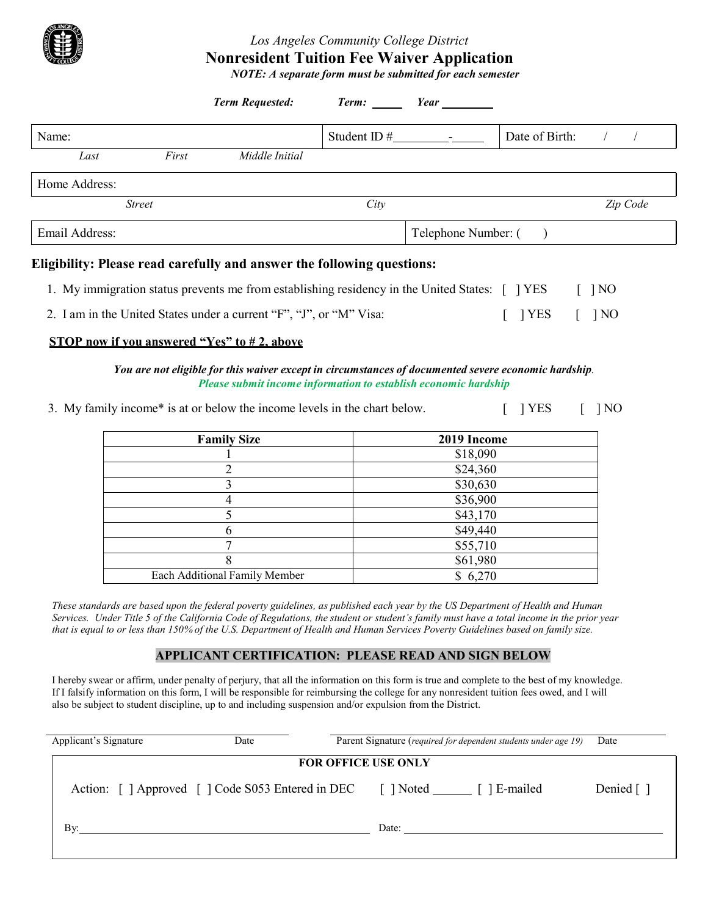## *Los Angeles Community College District* **Nonresident Tuition Fee Waiver Application**

*NOTE: A separate form must be submitted for each semester*

|                |       | <b>Term Requested:</b>                                                                                                                                                                                                                                                                                   |                    | Term: <u>Year</u> Year |                |                                  |
|----------------|-------|----------------------------------------------------------------------------------------------------------------------------------------------------------------------------------------------------------------------------------------------------------------------------------------------------------|--------------------|------------------------|----------------|----------------------------------|
| Name:          |       |                                                                                                                                                                                                                                                                                                          | Student ID $#$ $-$ |                        | Date of Birth: |                                  |
| Last           | First | Middle Initial                                                                                                                                                                                                                                                                                           |                    |                        |                |                                  |
| Home Address:  |       |                                                                                                                                                                                                                                                                                                          |                    |                        |                |                                  |
| <b>Street</b>  |       |                                                                                                                                                                                                                                                                                                          | City               |                        |                | Zip Code                         |
| Email Address: |       |                                                                                                                                                                                                                                                                                                          |                    | Telephone Number: (    |                |                                  |
|                |       | Eligibility: Please read carefully and answer the following questions:<br>1. My immigration status prevents me from establishing residency in the United States: [ ] YES<br>2. I am in the United States under a current "F", "J", or "M" Visa:<br><b>STOP</b> now if you answered "Yes" to $#2$ , above |                    |                        | <b>YES</b>     | $\lceil$ 1 NO<br>1 <sub>NO</sub> |
|                |       | You are not eligible for this waiver except in circumstances of documented severe economic hardship.<br>Please submit income information to establish economic hardship                                                                                                                                  |                    |                        |                |                                  |
|                |       | 3. My family income* is at or below the income levels in the chart below.                                                                                                                                                                                                                                |                    |                        | <b>YES</b>     | N <sub>O</sub>                   |
|                |       | <b>Family Size</b>                                                                                                                                                                                                                                                                                       |                    | 2019 Income            |                |                                  |

| <b>Family Size</b>            | 2019 Income |
|-------------------------------|-------------|
|                               | \$18,090    |
|                               | \$24,360    |
|                               | \$30,630    |
|                               | \$36,900    |
|                               | \$43,170    |
|                               | \$49,440    |
|                               | \$55,710    |
|                               | \$61,980    |
| Each Additional Family Member | \$6,270     |

These standards are based upon the federal poverty guidelines, as published each year by the US Department of Health and Human Services. Under Title 5 of the California Code of Regulations, the student or student's family must have a total income in the prior year that is equal to or less than 150% of the U.S. Department of Health and Human Services Poverty Guidelines based on family size.

## **APPLICANT CERTIFICATION: PLEASE READ AND SIGN BELOW**

I hereby swear or affirm, under penalty of perjury, that all the information on this form is true and complete to the best of my knowledge. If I falsify information on this form, I will be responsible for reimbursing the college for any nonresident tuition fees owed, and I will also be subject to student discipline, up to and including suspension and/or expulsion from the District.

| Applicant's Signature      | Date                                                                              | Parent Signature (required for dependent students under age 19) |                        |  |  |  |  |
|----------------------------|-----------------------------------------------------------------------------------|-----------------------------------------------------------------|------------------------|--|--|--|--|
| <b>FOR OFFICE USE ONLY</b> |                                                                                   |                                                                 |                        |  |  |  |  |
|                            | Action: [ ] Approved [ ] Code S053 Entered in DEC [ ] Noted ________ [ ] E-mailed |                                                                 | Denied $\lceil \rceil$ |  |  |  |  |
| By:                        |                                                                                   | Date:                                                           |                        |  |  |  |  |